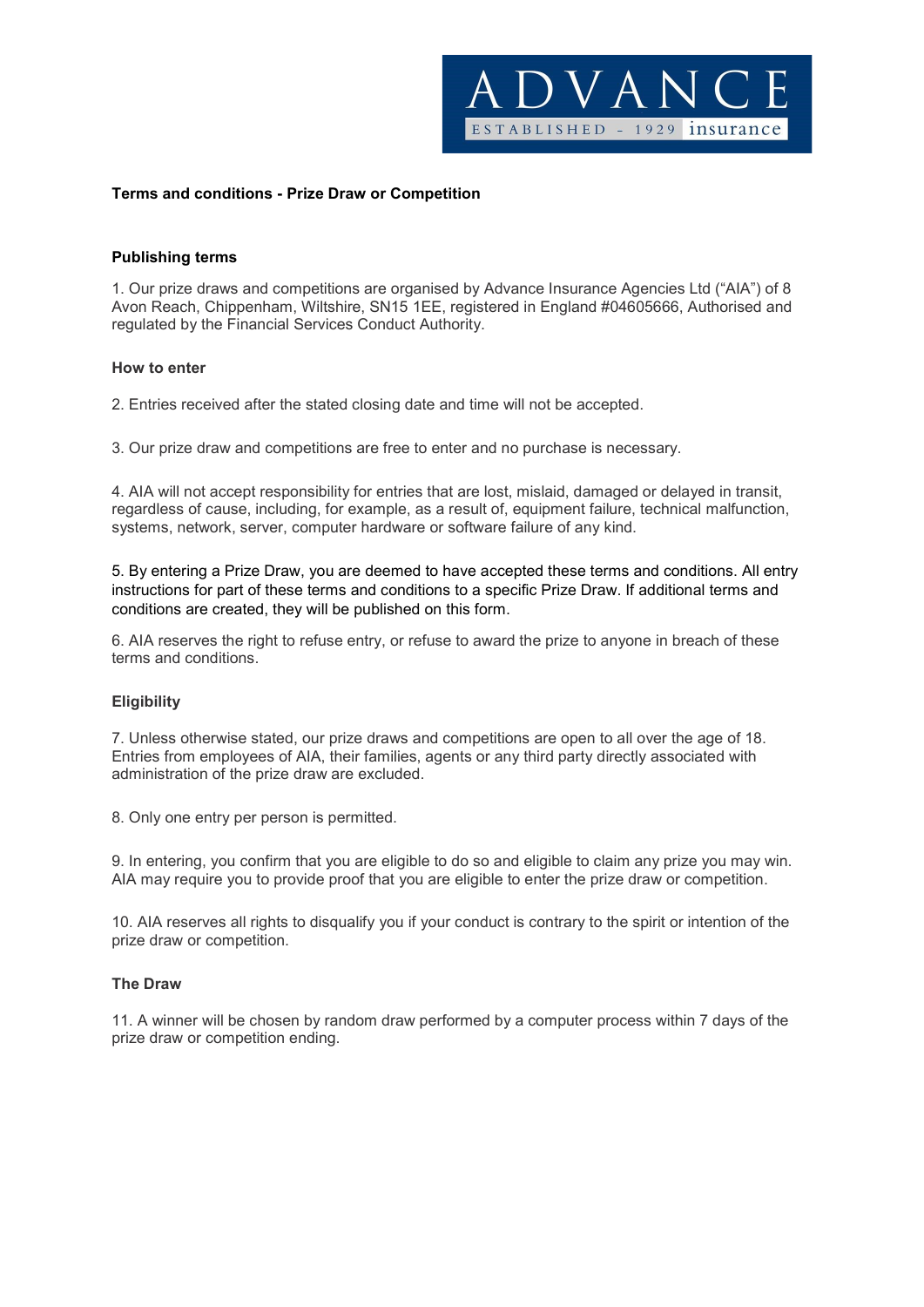

### Terms and conditions - Prize Draw or Competition

#### Publishing terms

1. Our prize draws and competitions are organised by Advance Insurance Agencies Ltd ("AIA") of 8 Avon Reach, Chippenham, Wiltshire, SN15 1EE, registered in England #04605666, Authorised and regulated by the Financial Services Conduct Authority.

#### How to enter

2. Entries received after the stated closing date and time will not be accepted.

3. Our prize draw and competitions are free to enter and no purchase is necessary.

4. AIA will not accept responsibility for entries that are lost, mislaid, damaged or delayed in transit, regardless of cause, including, for example, as a result of, equipment failure, technical malfunction, systems, network, server, computer hardware or software failure of any kind.

5. By entering a Prize Draw, you are deemed to have accepted these terms and conditions. All entry instructions for part of these terms and conditions to a specific Prize Draw. If additional terms and conditions are created, they will be published on this form.

6. AIA reserves the right to refuse entry, or refuse to award the prize to anyone in breach of these terms and conditions.

#### **Eligibility**

7. Unless otherwise stated, our prize draws and competitions are open to all over the age of 18. Entries from employees of AIA, their families, agents or any third party directly associated with administration of the prize draw are excluded.

8. Only one entry per person is permitted.

9. In entering, you confirm that you are eligible to do so and eligible to claim any prize you may win. AIA may require you to provide proof that you are eligible to enter the prize draw or competition.

10. AIA reserves all rights to disqualify you if your conduct is contrary to the spirit or intention of the prize draw or competition.

#### The Draw

11. A winner will be chosen by random draw performed by a computer process within 7 days of the prize draw or competition ending.